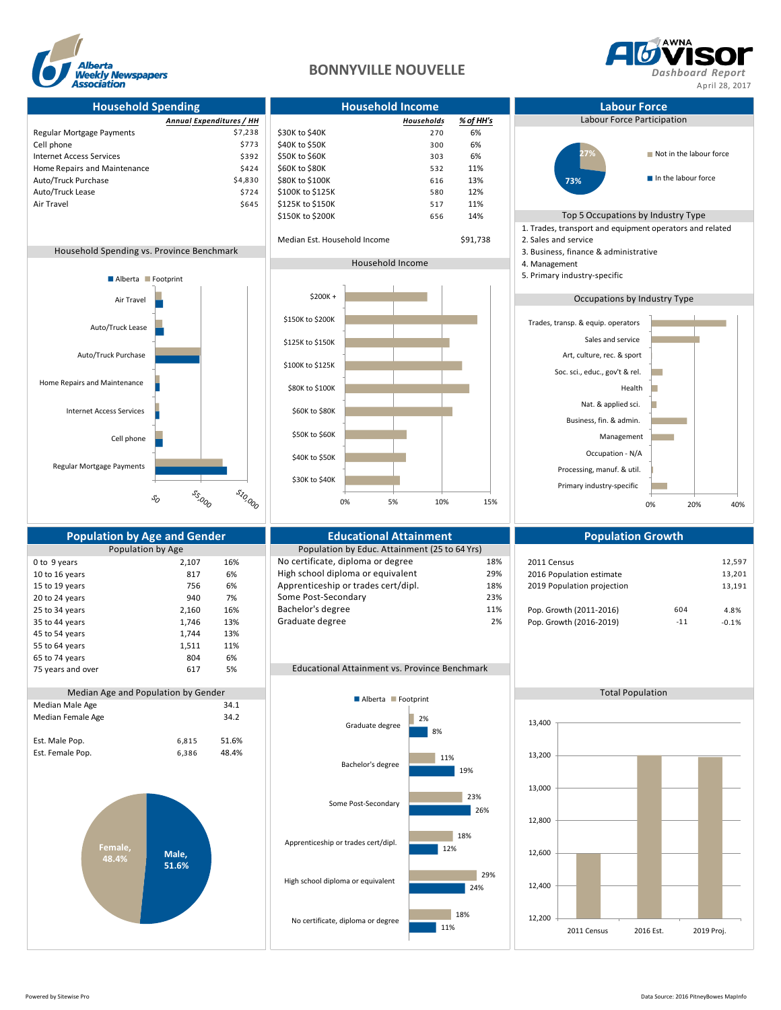

## **BONNYVILLE NOUVELLE** *Dashboard Report*



**Household Spending Household Income Labour Force** *Annual Expenditures / HH Households % of HH's* Labour Force Participation Regular Mortgage Payments **1998 1998 \$7,238** \$30K to \$40K 270 6%  $\text{Cell phone}$   $\text{573}$   $\text{573}$   $\text{540K}$  to  $\text{550K}$  300 6% Internet Access Services<br>
Internet Access Services<br>
Home Repairs and Maintenance<br>
11% 5424 \$60K to \$80K Home Repairs and Maintenance Auto/Truck Purchase \$4,830 \$80K to \$100K 616 13% Auto/Truck Lease \$724 \$100K to \$125K 580 12% Air Travel 517 11% (1990) 5645 \$125K to \$150K 5150K 517 11% \$150K to \$200K 656 14% Top 5 Occupations by Industry Type 1. Trades, transport and equipment operators and related Median Est. Household Income \$91,738 2. Sales and service Household Spending vs. Province Benchmark 3. Business, finance & administrative 3. Business, finance & administrative Household Income 4. Management 5. Primary industry-specific Occupations by Industry Type Regular Mortgage Payments **Population by Age and Gender Consumersity Consumersity Consumersity Population Scowth**<br>Population by Age **Population Population Population** by Educ. Attainment (25 to 64 Yrs) Population by Educ. Attainment (25 to 64 Yrs) 0 to 9 years 2,107 16% No certificate, diploma or degree 18% 2011 Census 2016 2018 12,597 12,597 12,597 12,597<br>10 to 16 years 817 6% High school diploma or equivalent 29% 2016 Population estimate 13.201 10 to 16 years 817 6% High school diploma or equivalent 29% 2016 Population estimate 15 to 19 years 756 6% Apprenticeship or trades cert/dipl. 18% 2019 Population projection 13,191 20 to 24 years 13% 940 940 940 961-Some Post-Secondary 23% 23% 8 achieves 23% 8 achieves 23% 940 961 23% 23% 25 to 34 years 2,160 16% Bachelor's degree 11% 11% Pop. Growth (2011-2016) 604 4.8% 35 to 44 years 1,746 13% Graduate degree 2% Pop. Growth (2016-2019) -11 -0.1% 45 to 54 years 1,744 13% 55 to 64 years 1,511 11% 65 to 74 years 804 6% 75 years and over 617 5% Educational Attainment vs. Province Benchmark Median Age and Population by Gender Total Population Total Population Total Population Median Male Age 34.1 Median Female Age 34.2 Est. Male Pop. 6,815 51.6% Est. Female Pop. 6,386 48.4% Cell phone Internet Access Services Home Repairs and Maintenance Auto/Truck Purchase Auto/Truck Lease Air Travel \$10,000 **55,000**  $\mathcal{S}_O$ Alberta **Footprint Male, 51.6% Female, 48.4%** 2011 Census 2016 Est. 2019 Proj. 12,200 12,400 12,600 12,800 13,000 13,200 13,400 11% 24% 12% 26% 19% 8% 18% 29% 18% 23% 11% 2% No certificate, diploma or degree High school diploma or equivalent Apprenticeship or trades cert/dipl. Some Post-Secondary Bachelor's degree Graduate degree **Alberta Footprint** Primary industry-specific Processing, manuf. & util. Occupation - N/A Management Business, fin. & admin. Nat. & applied sci. Health Soc. sci., educ., gov't & rel. Art, culture, rec. & sport Sales and service Trades, transp. & equip. operators 0% 20% 40% **27% 73%** Not in the labour force In the labour force \$30K to \$40K \$40K to \$50K \$50K to \$60K \$60K to \$80K \$80K to \$100K \$100K to \$125K \$125K to \$150K \$150K to \$200K \$200K + 0% 5% 10% 15%